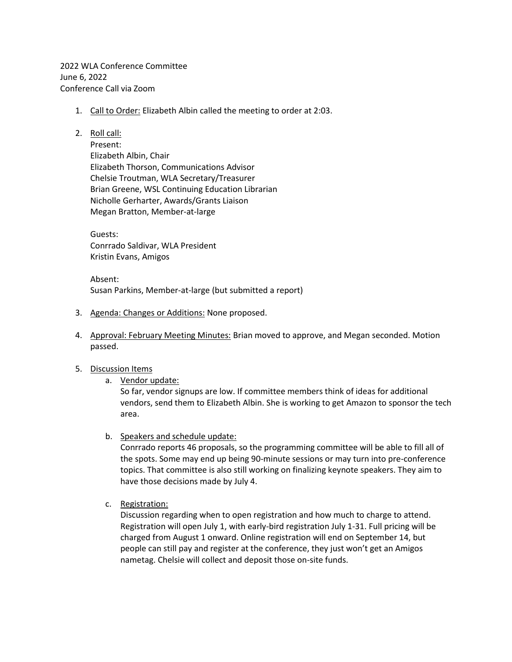2022 WLA Conference Committee June 6, 2022 Conference Call via Zoom

- 1. Call to Order: Elizabeth Albin called the meeting to order at 2:03.
- 2. Roll call:

Present: Elizabeth Albin, Chair Elizabeth Thorson, Communications Advisor Chelsie Troutman, WLA Secretary/Treasurer Brian Greene, WSL Continuing Education Librarian Nicholle Gerharter, Awards/Grants Liaison Megan Bratton, Member-at-large

Guests: Conrrado Saldivar, WLA President Kristin Evans, Amigos

Absent: Susan Parkins, Member-at-large (but submitted a report)

- 3. Agenda: Changes or Additions: None proposed.
- 4. Approval: February Meeting Minutes: Brian moved to approve, and Megan seconded. Motion passed.
- 5. Discussion Items
	- a. Vendor update:

So far, vendor signups are low. If committee members think of ideas for additional vendors, send them to Elizabeth Albin. She is working to get Amazon to sponsor the tech area.

b. Speakers and schedule update:

Conrrado reports 46 proposals, so the programming committee will be able to fill all of the spots. Some may end up being 90-minute sessions or may turn into pre-conference topics. That committee is also still working on finalizing keynote speakers. They aim to have those decisions made by July 4.

c. Registration:

Discussion regarding when to open registration and how much to charge to attend. Registration will open July 1, with early-bird registration July 1-31. Full pricing will be charged from August 1 onward. Online registration will end on September 14, but people can still pay and register at the conference, they just won't get an Amigos nametag. Chelsie will collect and deposit those on-site funds.